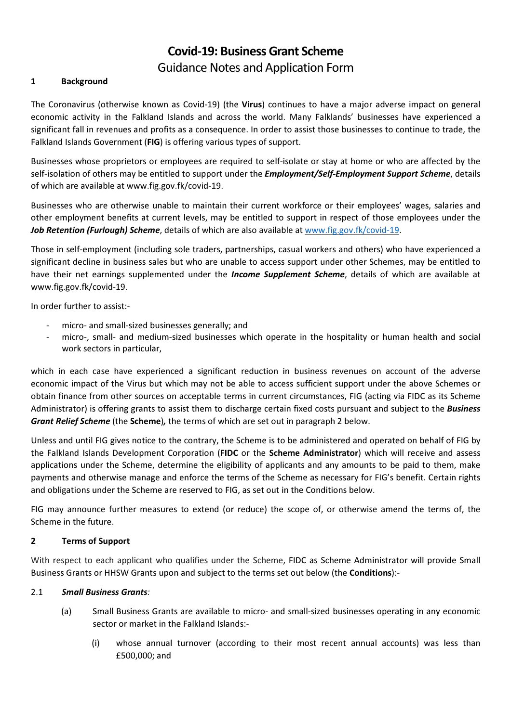# Covid-19: Business Grant Scheme Guidance Notes and Application Form

## 1 Background

The Coronavirus (otherwise known as Covid-19) (the Virus) continues to have a major adverse impact on general economic activity in the Falkland Islands and across the world. Many Falklands' businesses have experienced a significant fall in revenues and profits as a consequence. In order to assist those businesses to continue to trade, the Falkland Islands Government (FIG) is offering various types of support.

Businesses whose proprietors or employees are required to self-isolate or stay at home or who are affected by the self-isolation of others may be entitled to support under the *Employment/Self-Employment Support Scheme*, details of which are available at www.fig.gov.fk/covid-19.

Businesses who are otherwise unable to maintain their current workforce or their employees' wages, salaries and other employment benefits at current levels, may be entitled to support in respect of those employees under the Job Retention (Furlough) Scheme, details of which are also available at www.fig.gov.fk/covid-19.

Those in self-employment (including sole traders, partnerships, casual workers and others) who have experienced a significant decline in business sales but who are unable to access support under other Schemes, may be entitled to have their net earnings supplemented under the *Income Supplement Scheme*, details of which are available at www.fig.gov.fk/covid-19.

In order further to assist:-

- micro- and small-sized businesses generally; and
- micro-, small- and medium-sized businesses which operate in the hospitality or human health and social work sectors in particular,

which in each case have experienced a significant reduction in business revenues on account of the adverse economic impact of the Virus but which may not be able to access sufficient support under the above Schemes or obtain finance from other sources on acceptable terms in current circumstances, FIG (acting via FIDC as its Scheme Administrator) is offering grants to assist them to discharge certain fixed costs pursuant and subject to the **Business** Grant Relief Scheme (the Scheme), the terms of which are set out in paragraph 2 below.

Unless and until FIG gives notice to the contrary, the Scheme is to be administered and operated on behalf of FIG by the Falkland Islands Development Corporation (FIDC or the Scheme Administrator) which will receive and assess applications under the Scheme, determine the eligibility of applicants and any amounts to be paid to them, make payments and otherwise manage and enforce the terms of the Scheme as necessary for FIG's benefit. Certain rights and obligations under the Scheme are reserved to FIG, as set out in the Conditions below.

FIG may announce further measures to extend (or reduce) the scope of, or otherwise amend the terms of, the Scheme in the future.

#### 2 Terms of Support

With respect to each applicant who qualifies under the Scheme, FIDC as Scheme Administrator will provide Small Business Grants or HHSW Grants upon and subject to the terms set out below (the Conditions):-

#### 2.1 Small Business Grants:

- (a) Small Business Grants are available to micro- and small-sized businesses operating in any economic sector or market in the Falkland Islands:-
	- (i) whose annual turnover (according to their most recent annual accounts) was less than £500,000; and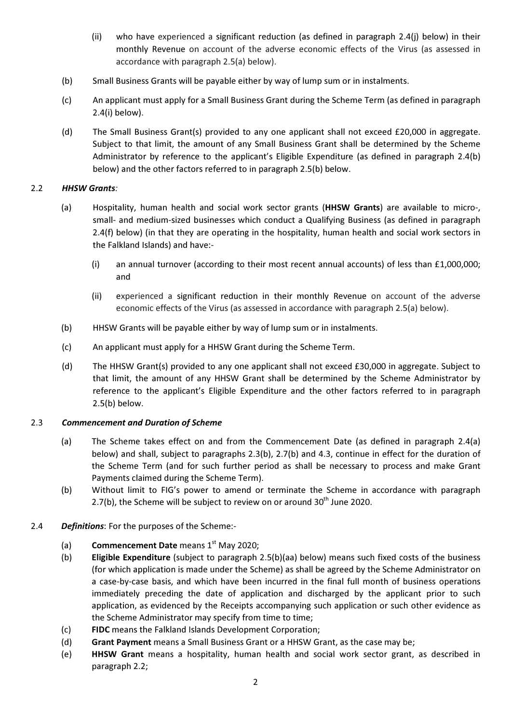- (ii) who have experienced a significant reduction (as defined in paragraph 2.4(j) below) in their monthly Revenue on account of the adverse economic effects of the Virus (as assessed in accordance with paragraph 2.5(a) below).
- (b) Small Business Grants will be payable either by way of lump sum or in instalments.
- (c) An applicant must apply for a Small Business Grant during the Scheme Term (as defined in paragraph 2.4(i) below).
- (d) The Small Business Grant(s) provided to any one applicant shall not exceed £20,000 in aggregate. Subject to that limit, the amount of any Small Business Grant shall be determined by the Scheme Administrator by reference to the applicant's Eligible Expenditure (as defined in paragraph 2.4(b) below) and the other factors referred to in paragraph 2.5(b) below.

### 2.2 HHSW Grants:

- (a) Hospitality, human health and social work sector grants (HHSW Grants) are available to micro-, small- and medium-sized businesses which conduct a Qualifying Business (as defined in paragraph 2.4(f) below) (in that they are operating in the hospitality, human health and social work sectors in the Falkland Islands) and have:-
	- (i) an annual turnover (according to their most recent annual accounts) of less than £1,000,000; and
	- (ii) experienced a significant reduction in their monthly Revenue on account of the adverse economic effects of the Virus (as assessed in accordance with paragraph 2.5(a) below).
- (b) HHSW Grants will be payable either by way of lump sum or in instalments.
- (c) An applicant must apply for a HHSW Grant during the Scheme Term.
- (d) The HHSW Grant(s) provided to any one applicant shall not exceed £30,000 in aggregate. Subject to that limit, the amount of any HHSW Grant shall be determined by the Scheme Administrator by reference to the applicant's Eligible Expenditure and the other factors referred to in paragraph 2.5(b) below.

#### 2.3 Commencement and Duration of Scheme

- (a) The Scheme takes effect on and from the Commencement Date (as defined in paragraph 2.4(a) below) and shall, subject to paragraphs 2.3(b), 2.7(b) and 4.3, continue in effect for the duration of the Scheme Term (and for such further period as shall be necessary to process and make Grant Payments claimed during the Scheme Term).
- (b) Without limit to FIG's power to amend or terminate the Scheme in accordance with paragraph 2.7(b), the Scheme will be subject to review on or around  $30<sup>th</sup>$  June 2020.
- 2.4 Definitions: For the purposes of the Scheme:-
	- (a) **Commencement Date** means  $1<sup>st</sup>$  May 2020;
	- (b) Eligible Expenditure (subject to paragraph 2.5(b)(aa) below) means such fixed costs of the business (for which application is made under the Scheme) as shall be agreed by the Scheme Administrator on a case-by-case basis, and which have been incurred in the final full month of business operations immediately preceding the date of application and discharged by the applicant prior to such application, as evidenced by the Receipts accompanying such application or such other evidence as the Scheme Administrator may specify from time to time;
	- (c) FIDC means the Falkland Islands Development Corporation;
	- (d) Grant Payment means a Small Business Grant or a HHSW Grant, as the case may be;
	- (e) HHSW Grant means a hospitality, human health and social work sector grant, as described in paragraph 2.2;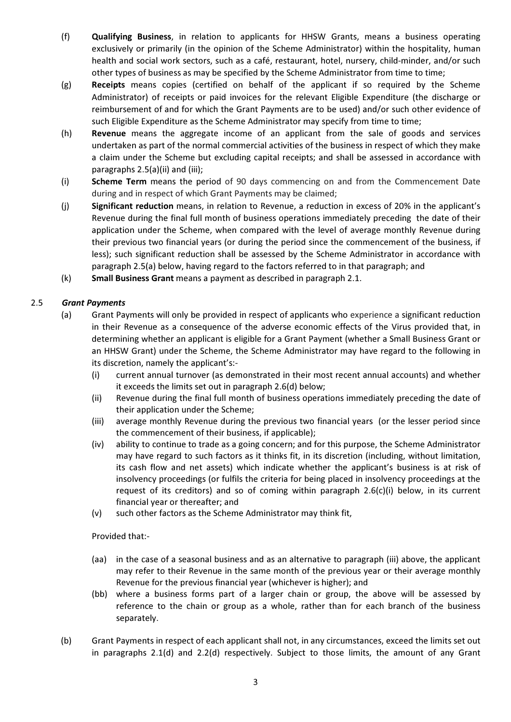- (f) Qualifying Business, in relation to applicants for HHSW Grants, means a business operating exclusively or primarily (in the opinion of the Scheme Administrator) within the hospitality, human health and social work sectors, such as a café, restaurant, hotel, nursery, child-minder, and/or such other types of business as may be specified by the Scheme Administrator from time to time;
- (g) Receipts means copies (certified on behalf of the applicant if so required by the Scheme Administrator) of receipts or paid invoices for the relevant Eligible Expenditure (the discharge or reimbursement of and for which the Grant Payments are to be used) and/or such other evidence of such Eligible Expenditure as the Scheme Administrator may specify from time to time;
- (h) Revenue means the aggregate income of an applicant from the sale of goods and services undertaken as part of the normal commercial activities of the business in respect of which they make a claim under the Scheme but excluding capital receipts; and shall be assessed in accordance with paragraphs 2.5(a)(ii) and (iii);
- (i) Scheme Term means the period of 90 days commencing on and from the Commencement Date during and in respect of which Grant Payments may be claimed;
- (j) Significant reduction means, in relation to Revenue, a reduction in excess of 20% in the applicant's Revenue during the final full month of business operations immediately preceding the date of their application under the Scheme, when compared with the level of average monthly Revenue during their previous two financial years (or during the period since the commencement of the business, if less); such significant reduction shall be assessed by the Scheme Administrator in accordance with paragraph 2.5(a) below, having regard to the factors referred to in that paragraph; and
- (k) Small Business Grant means a payment as described in paragraph 2.1.

## 2.5 Grant Payments

- (a) Grant Payments will only be provided in respect of applicants who experience a significant reduction in their Revenue as a consequence of the adverse economic effects of the Virus provided that, in determining whether an applicant is eligible for a Grant Payment (whether a Small Business Grant or an HHSW Grant) under the Scheme, the Scheme Administrator may have regard to the following in its discretion, namely the applicant's:-
	- (i) current annual turnover (as demonstrated in their most recent annual accounts) and whether it exceeds the limits set out in paragraph 2.6(d) below;
	- (ii) Revenue during the final full month of business operations immediately preceding the date of their application under the Scheme;
	- (iii) average monthly Revenue during the previous two financial years (or the lesser period since the commencement of their business, if applicable);
	- (iv) ability to continue to trade as a going concern; and for this purpose, the Scheme Administrator may have regard to such factors as it thinks fit, in its discretion (including, without limitation, its cash flow and net assets) which indicate whether the applicant's business is at risk of insolvency proceedings (or fulfils the criteria for being placed in insolvency proceedings at the request of its creditors) and so of coming within paragraph  $2.6(c)(i)$  below, in its current financial year or thereafter; and
	- (v) such other factors as the Scheme Administrator may think fit,

#### Provided that:-

- (aa) in the case of a seasonal business and as an alternative to paragraph (iii) above, the applicant may refer to their Revenue in the same month of the previous year or their average monthly Revenue for the previous financial year (whichever is higher); and
- (bb) where a business forms part of a larger chain or group, the above will be assessed by reference to the chain or group as a whole, rather than for each branch of the business separately.
- (b) Grant Payments in respect of each applicant shall not, in any circumstances, exceed the limits set out in paragraphs 2.1(d) and 2.2(d) respectively. Subject to those limits, the amount of any Grant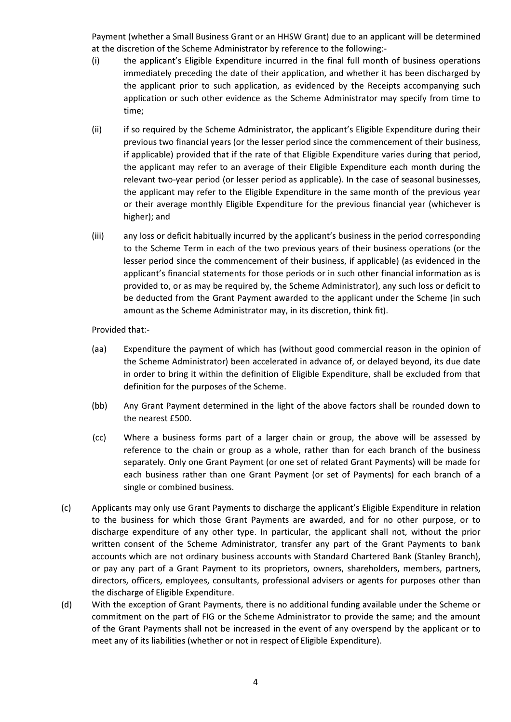Payment (whether a Small Business Grant or an HHSW Grant) due to an applicant will be determined at the discretion of the Scheme Administrator by reference to the following:-

- (i) the applicant's Eligible Expenditure incurred in the final full month of business operations immediately preceding the date of their application, and whether it has been discharged by the applicant prior to such application, as evidenced by the Receipts accompanying such application or such other evidence as the Scheme Administrator may specify from time to time;
- (ii) if so required by the Scheme Administrator, the applicant's Eligible Expenditure during their previous two financial years (or the lesser period since the commencement of their business, if applicable) provided that if the rate of that Eligible Expenditure varies during that period, the applicant may refer to an average of their Eligible Expenditure each month during the relevant two-year period (or lesser period as applicable). In the case of seasonal businesses, the applicant may refer to the Eligible Expenditure in the same month of the previous year or their average monthly Eligible Expenditure for the previous financial year (whichever is higher); and
- (iii) any loss or deficit habitually incurred by the applicant's business in the period corresponding to the Scheme Term in each of the two previous years of their business operations (or the lesser period since the commencement of their business, if applicable) (as evidenced in the applicant's financial statements for those periods or in such other financial information as is provided to, or as may be required by, the Scheme Administrator), any such loss or deficit to be deducted from the Grant Payment awarded to the applicant under the Scheme (in such amount as the Scheme Administrator may, in its discretion, think fit).

Provided that:-

- (aa) Expenditure the payment of which has (without good commercial reason in the opinion of the Scheme Administrator) been accelerated in advance of, or delayed beyond, its due date in order to bring it within the definition of Eligible Expenditure, shall be excluded from that definition for the purposes of the Scheme.
- (bb) Any Grant Payment determined in the light of the above factors shall be rounded down to the nearest £500.
- (cc) Where a business forms part of a larger chain or group, the above will be assessed by reference to the chain or group as a whole, rather than for each branch of the business separately. Only one Grant Payment (or one set of related Grant Payments) will be made for each business rather than one Grant Payment (or set of Payments) for each branch of a single or combined business.
- (c) Applicants may only use Grant Payments to discharge the applicant's Eligible Expenditure in relation to the business for which those Grant Payments are awarded, and for no other purpose, or to discharge expenditure of any other type. In particular, the applicant shall not, without the prior written consent of the Scheme Administrator, transfer any part of the Grant Payments to bank accounts which are not ordinary business accounts with Standard Chartered Bank (Stanley Branch), or pay any part of a Grant Payment to its proprietors, owners, shareholders, members, partners, directors, officers, employees, consultants, professional advisers or agents for purposes other than the discharge of Eligible Expenditure.
- (d) With the exception of Grant Payments, there is no additional funding available under the Scheme or commitment on the part of FIG or the Scheme Administrator to provide the same; and the amount of the Grant Payments shall not be increased in the event of any overspend by the applicant or to meet any of its liabilities (whether or not in respect of Eligible Expenditure).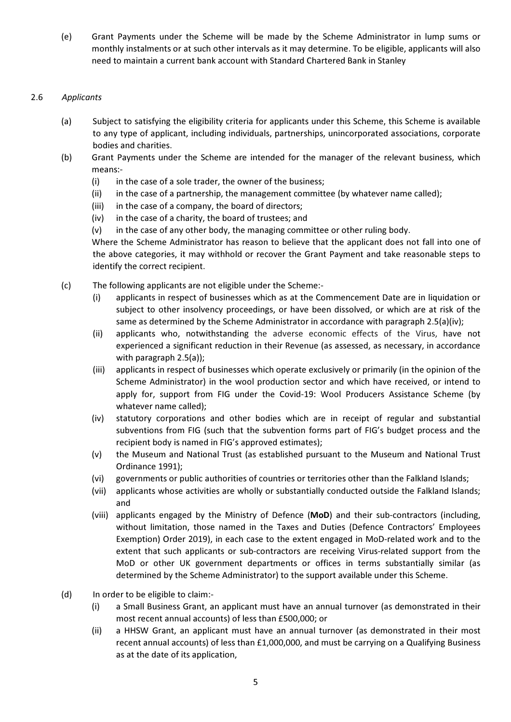(e) Grant Payments under the Scheme will be made by the Scheme Administrator in lump sums or monthly instalments or at such other intervals as it may determine. To be eligible, applicants will also need to maintain a current bank account with Standard Chartered Bank in Stanley

## 2.6 Applicants

- (a) Subject to satisfying the eligibility criteria for applicants under this Scheme, this Scheme is available to any type of applicant, including individuals, partnerships, unincorporated associations, corporate bodies and charities.
- (b) Grant Payments under the Scheme are intended for the manager of the relevant business, which means:-
	- (i) in the case of a sole trader, the owner of the business;
	- (ii) in the case of a partnership, the management committee (by whatever name called);
	- (iii) in the case of a company, the board of directors;
	- (iv) in the case of a charity, the board of trustees; and
	- $(v)$  in the case of any other body, the managing committee or other ruling body.

Where the Scheme Administrator has reason to believe that the applicant does not fall into one of the above categories, it may withhold or recover the Grant Payment and take reasonable steps to identify the correct recipient.

- (c) The following applicants are not eligible under the Scheme:-
	- (i) applicants in respect of businesses which as at the Commencement Date are in liquidation or subject to other insolvency proceedings, or have been dissolved, or which are at risk of the same as determined by the Scheme Administrator in accordance with paragraph 2.5(a)(iv);
	- (ii) applicants who, notwithstanding the adverse economic effects of the Virus, have not experienced a significant reduction in their Revenue (as assessed, as necessary, in accordance with paragraph 2.5(a));
	- (iii) applicants in respect of businesses which operate exclusively or primarily (in the opinion of the Scheme Administrator) in the wool production sector and which have received, or intend to apply for, support from FIG under the Covid-19: Wool Producers Assistance Scheme (by whatever name called);
	- (iv) statutory corporations and other bodies which are in receipt of regular and substantial subventions from FIG (such that the subvention forms part of FIG's budget process and the recipient body is named in FIG's approved estimates);
	- (v) the Museum and National Trust (as established pursuant to the Museum and National Trust Ordinance 1991);
	- (vi) governments or public authorities of countries or territories other than the Falkland Islands;
	- (vii) applicants whose activities are wholly or substantially conducted outside the Falkland Islands; and
	- (viii) applicants engaged by the Ministry of Defence (MoD) and their sub-contractors (including, without limitation, those named in the Taxes and Duties (Defence Contractors' Employees Exemption) Order 2019), in each case to the extent engaged in MoD-related work and to the extent that such applicants or sub-contractors are receiving Virus-related support from the MoD or other UK government departments or offices in terms substantially similar (as determined by the Scheme Administrator) to the support available under this Scheme.
- (d) In order to be eligible to claim:-
	- (i) a Small Business Grant, an applicant must have an annual turnover (as demonstrated in their most recent annual accounts) of less than £500,000; or
	- (ii) a HHSW Grant, an applicant must have an annual turnover (as demonstrated in their most recent annual accounts) of less than £1,000,000, and must be carrying on a Qualifying Business as at the date of its application,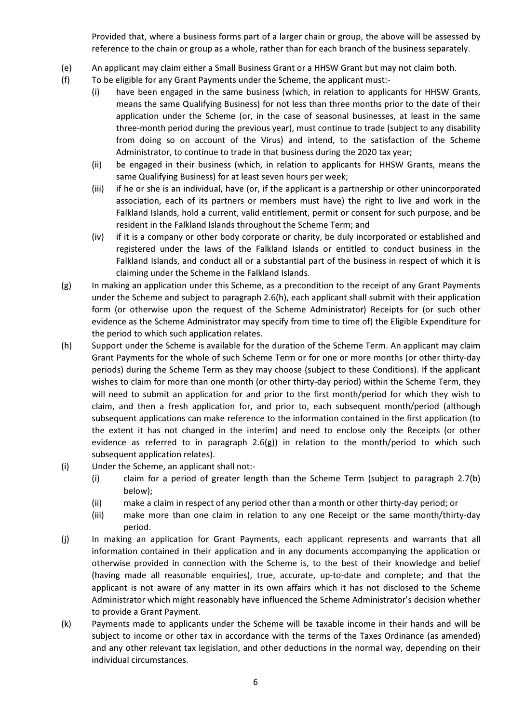Provided that, where a business forms part of a larger chain or group, the above will be assessed by reference to the chain or group as a whole, rather than for each branch of the business separately.

- (e) An applicant may claim either a Small Business Grant or a HHSW Grant but may not claim both.
- (f) To be eligible for any Grant Payments under the Scheme, the applicant must:-
	- (i) have been engaged in the same business (which, in relation to applicants for HHSW Grants, means the same Qualifying Business) for not less than three months prior to the date of their application under the Scheme (or, in the case of seasonal businesses, at least in the same three-month period during the previous year), must continue to trade (subject to any disability from doing so on account of the Virus) and intend, to the satisfaction of the Scheme Administrator, to continue to trade in that business during the 2020 tax year;
	- (ii) be engaged in their business (which, in relation to applicants for HHSW Grants, means the same Qualifying Business) for at least seven hours per week;
	- (iii) if he or she is an individual, have (or, if the applicant is a partnership or other unincorporated association, each of its partners or members must have) the right to live and work in the Falkland Islands, hold a current, valid entitlement, permit or consent for such purpose, and be resident in the Falkland Islands throughout the Scheme Term; and
	- (iv) if it is a company or other body corporate or charity, be duly incorporated or established and registered under the laws of the Falkland Islands or entitled to conduct business in the Falkland Islands, and conduct all or a substantial part of the business in respect of which it is claiming under the Scheme in the Falkland Islands.
- (g) In making an application under this Scheme, as a precondition to the receipt of any Grant Payments under the Scheme and subject to paragraph 2.6(h), each applicant shall submit with their application form (or otherwise upon the request of the Scheme Administrator) Receipts for (or such other evidence as the Scheme Administrator may specify from time to time of) the Eligible Expenditure for the period to which such application relates.
- (h) Support under the Scheme is available for the duration of the Scheme Term. An applicant may claim Grant Payments for the whole of such Scheme Term or for one or more months (or other thirty-day periods) during the Scheme Term as they may choose (subject to these Conditions). If the applicant wishes to claim for more than one month (or other thirty-day period) within the Scheme Term, they will need to submit an application for and prior to the first month/period for which they wish to claim, and then a fresh application for, and prior to, each subsequent month/period (although subsequent applications can make reference to the information contained in the first application (to the extent it has not changed in the interim) and need to enclose only the Receipts (or other evidence as referred to in paragraph 2.6(g)) in relation to the month/period to which such subsequent application relates).
- (i) Under the Scheme, an applicant shall not:-
	- (i) claim for a period of greater length than the Scheme Term (subject to paragraph 2.7(b) below);
	- (ii) make a claim in respect of any period other than a month or other thirty-day period; or
	- (iii) make more than one claim in relation to any one Receipt or the same month/thirty-day period.
- (j) In making an application for Grant Payments, each applicant represents and warrants that all information contained in their application and in any documents accompanying the application or otherwise provided in connection with the Scheme is, to the best of their knowledge and belief (having made all reasonable enquiries), true, accurate, up-to-date and complete; and that the applicant is not aware of any matter in its own affairs which it has not disclosed to the Scheme Administrator which might reasonably have influenced the Scheme Administrator's decision whether to provide a Grant Payment.
- (k) Payments made to applicants under the Scheme will be taxable income in their hands and will be subject to income or other tax in accordance with the terms of the Taxes Ordinance (as amended) and any other relevant tax legislation, and other deductions in the normal way, depending on their individual circumstances.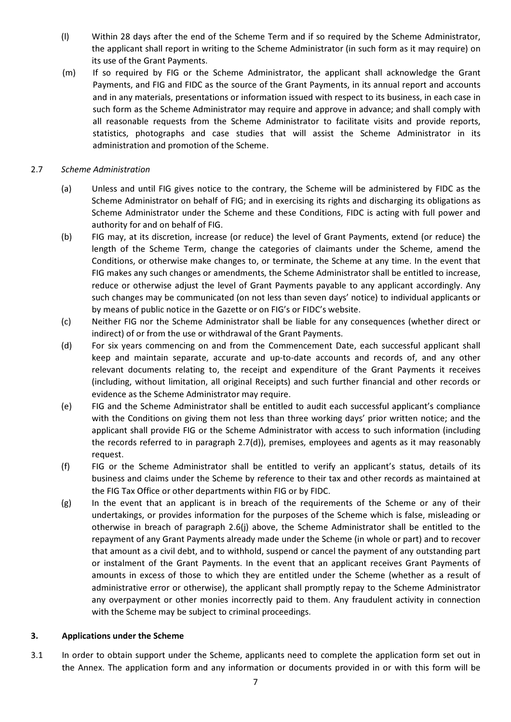- (l) Within 28 days after the end of the Scheme Term and if so required by the Scheme Administrator, the applicant shall report in writing to the Scheme Administrator (in such form as it may require) on its use of the Grant Payments.
- (m) If so required by FIG or the Scheme Administrator, the applicant shall acknowledge the Grant Payments, and FIG and FIDC as the source of the Grant Payments, in its annual report and accounts and in any materials, presentations or information issued with respect to its business, in each case in such form as the Scheme Administrator may require and approve in advance; and shall comply with all reasonable requests from the Scheme Administrator to facilitate visits and provide reports, statistics, photographs and case studies that will assist the Scheme Administrator in its administration and promotion of the Scheme.

#### 2.7 Scheme Administration

- (a) Unless and until FIG gives notice to the contrary, the Scheme will be administered by FIDC as the Scheme Administrator on behalf of FIG; and in exercising its rights and discharging its obligations as Scheme Administrator under the Scheme and these Conditions, FIDC is acting with full power and authority for and on behalf of FIG.
- (b) FIG may, at its discretion, increase (or reduce) the level of Grant Payments, extend (or reduce) the length of the Scheme Term, change the categories of claimants under the Scheme, amend the Conditions, or otherwise make changes to, or terminate, the Scheme at any time. In the event that FIG makes any such changes or amendments, the Scheme Administrator shall be entitled to increase, reduce or otherwise adjust the level of Grant Payments payable to any applicant accordingly. Any such changes may be communicated (on not less than seven days' notice) to individual applicants or by means of public notice in the Gazette or on FIG's or FIDC's website.
- (c) Neither FIG nor the Scheme Administrator shall be liable for any consequences (whether direct or indirect) of or from the use or withdrawal of the Grant Payments.
- (d) For six years commencing on and from the Commencement Date, each successful applicant shall keep and maintain separate, accurate and up-to-date accounts and records of, and any other relevant documents relating to, the receipt and expenditure of the Grant Payments it receives (including, without limitation, all original Receipts) and such further financial and other records or evidence as the Scheme Administrator may require.
- (e) FIG and the Scheme Administrator shall be entitled to audit each successful applicant's compliance with the Conditions on giving them not less than three working days' prior written notice; and the applicant shall provide FIG or the Scheme Administrator with access to such information (including the records referred to in paragraph 2.7(d)), premises, employees and agents as it may reasonably request.
- (f) FIG or the Scheme Administrator shall be entitled to verify an applicant's status, details of its business and claims under the Scheme by reference to their tax and other records as maintained at the FIG Tax Office or other departments within FIG or by FIDC.
- (g) In the event that an applicant is in breach of the requirements of the Scheme or any of their undertakings, or provides information for the purposes of the Scheme which is false, misleading or otherwise in breach of paragraph 2.6(j) above, the Scheme Administrator shall be entitled to the repayment of any Grant Payments already made under the Scheme (in whole or part) and to recover that amount as a civil debt, and to withhold, suspend or cancel the payment of any outstanding part or instalment of the Grant Payments. In the event that an applicant receives Grant Payments of amounts in excess of those to which they are entitled under the Scheme (whether as a result of administrative error or otherwise), the applicant shall promptly repay to the Scheme Administrator any overpayment or other monies incorrectly paid to them. Any fraudulent activity in connection with the Scheme may be subject to criminal proceedings.

#### 3. Applications under the Scheme

3.1 In order to obtain support under the Scheme, applicants need to complete the application form set out in the Annex. The application form and any information or documents provided in or with this form will be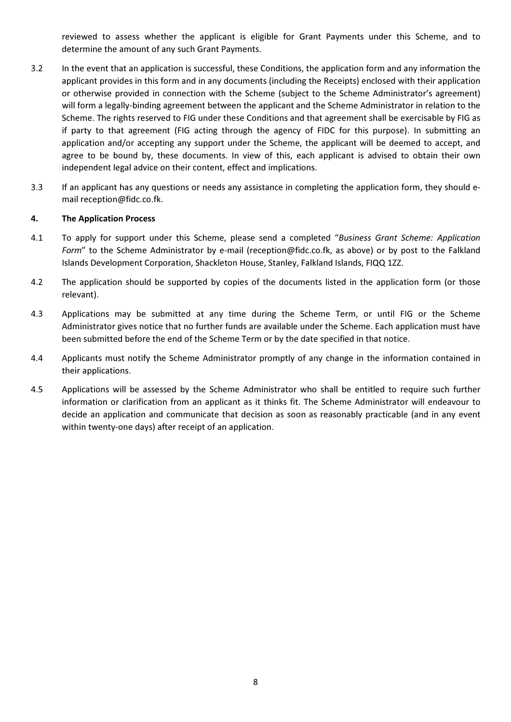reviewed to assess whether the applicant is eligible for Grant Payments under this Scheme, and to determine the amount of any such Grant Payments.

- 3.2 In the event that an application is successful, these Conditions, the application form and any information the applicant provides in this form and in any documents (including the Receipts) enclosed with their application or otherwise provided in connection with the Scheme (subject to the Scheme Administrator's agreement) will form a legally-binding agreement between the applicant and the Scheme Administrator in relation to the Scheme. The rights reserved to FIG under these Conditions and that agreement shall be exercisable by FIG as if party to that agreement (FIG acting through the agency of FIDC for this purpose). In submitting an application and/or accepting any support under the Scheme, the applicant will be deemed to accept, and agree to be bound by, these documents. In view of this, each applicant is advised to obtain their own independent legal advice on their content, effect and implications.
- 3.3 If an applicant has any questions or needs any assistance in completing the application form, they should email reception@fidc.co.fk.

### 4. The Application Process

- 4.1 To apply for support under this Scheme, please send a completed "Business Grant Scheme: Application Form" to the Scheme Administrator by e-mail (reception@fidc.co.fk, as above) or by post to the Falkland Islands Development Corporation, Shackleton House, Stanley, Falkland Islands, FIQQ 1ZZ.
- 4.2 The application should be supported by copies of the documents listed in the application form (or those relevant).
- 4.3 Applications may be submitted at any time during the Scheme Term, or until FIG or the Scheme Administrator gives notice that no further funds are available under the Scheme. Each application must have been submitted before the end of the Scheme Term or by the date specified in that notice.
- 4.4 Applicants must notify the Scheme Administrator promptly of any change in the information contained in their applications.
- 4.5 Applications will be assessed by the Scheme Administrator who shall be entitled to require such further information or clarification from an applicant as it thinks fit. The Scheme Administrator will endeavour to decide an application and communicate that decision as soon as reasonably practicable (and in any event within twenty-one days) after receipt of an application.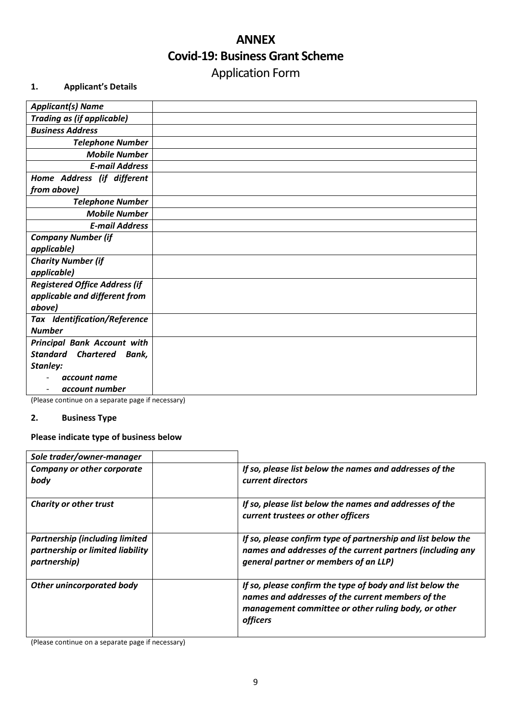# ANNEX Covid-19: Business Grant Scheme Application Form

## 1. Applicant's Details

| <b>Applicant(s) Name</b>              |  |
|---------------------------------------|--|
| <b>Trading as (if applicable)</b>     |  |
| <b>Business Address</b>               |  |
| <b>Telephone Number</b>               |  |
| <b>Mobile Number</b>                  |  |
| <b>E-mail Address</b>                 |  |
| Home Address (if different            |  |
| from above)                           |  |
| <b>Telephone Number</b>               |  |
| <b>Mobile Number</b>                  |  |
| <b>E-mail Address</b>                 |  |
| <b>Company Number (if</b>             |  |
| applicable)                           |  |
| <b>Charity Number (if</b>             |  |
| applicable)                           |  |
| <b>Registered Office Address (if</b>  |  |
| applicable and different from         |  |
| above)                                |  |
| <b>Tax Identification/Reference</b>   |  |
| <b>Number</b>                         |  |
| <b>Principal Bank Account with</b>    |  |
| <b>Standard</b><br>Chartered<br>Bank, |  |
| Stanley:                              |  |
| account name                          |  |
| account number                        |  |

(Please continue on a separate page if necessary)

## 2. Business Type

## Please indicate type of business below

| Sole trader/owner-manager                                                                  |                                                                                                                                                                                   |
|--------------------------------------------------------------------------------------------|-----------------------------------------------------------------------------------------------------------------------------------------------------------------------------------|
| <b>Company or other corporate</b><br>body                                                  | If so, please list below the names and addresses of the<br>current directors                                                                                                      |
| <b>Charity or other trust</b>                                                              | If so, please list below the names and addresses of the<br>current trustees or other officers                                                                                     |
| <b>Partnership (including limited)</b><br>partnership or limited liability<br>partnership) | If so, please confirm type of partnership and list below the<br>names and addresses of the current partners (including any<br>general partner or members of an LLP)               |
| <b>Other unincorporated body</b>                                                           | If so, please confirm the type of body and list below the<br>names and addresses of the current members of the<br>management committee or other ruling body, or other<br>officers |

(Please continue on a separate page if necessary)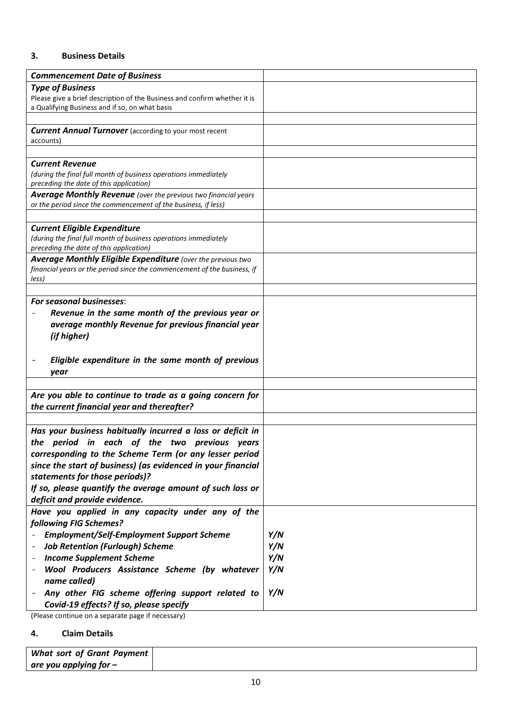## 3. Business Details

| <b>Type of Business</b><br>Please give a brief description of the Business and confirm whether it is<br>a Qualifying Business and if so, on what basis<br><b>Current Annual Turnover</b> (according to your most recent<br>accounts)<br><b>Current Revenue</b><br>(during the final full month of business operations immediately<br>preceding the date of this application)<br><b>Average Monthly Revenue</b> (over the previous two financial years<br>or the period since the commencement of the business, if less)<br><b>Current Eligible Expenditure</b><br>(during the final full month of business operations immediately<br>preceding the date of this application)<br><b>Average Monthly Eligible Expenditure</b> (over the previous two<br>financial years or the period since the commencement of the business, if<br>less)<br><b>For seasonal businesses:</b><br>Revenue in the same month of the previous year or<br>average monthly Revenue for previous financial year<br>(if higher)<br>Eligible expenditure in the same month of previous<br>year<br>Are you able to continue to trade as a going concern for<br>the current financial year and thereafter? |
|-------------------------------------------------------------------------------------------------------------------------------------------------------------------------------------------------------------------------------------------------------------------------------------------------------------------------------------------------------------------------------------------------------------------------------------------------------------------------------------------------------------------------------------------------------------------------------------------------------------------------------------------------------------------------------------------------------------------------------------------------------------------------------------------------------------------------------------------------------------------------------------------------------------------------------------------------------------------------------------------------------------------------------------------------------------------------------------------------------------------------------------------------------------------------------|
|                                                                                                                                                                                                                                                                                                                                                                                                                                                                                                                                                                                                                                                                                                                                                                                                                                                                                                                                                                                                                                                                                                                                                                               |
|                                                                                                                                                                                                                                                                                                                                                                                                                                                                                                                                                                                                                                                                                                                                                                                                                                                                                                                                                                                                                                                                                                                                                                               |
|                                                                                                                                                                                                                                                                                                                                                                                                                                                                                                                                                                                                                                                                                                                                                                                                                                                                                                                                                                                                                                                                                                                                                                               |
|                                                                                                                                                                                                                                                                                                                                                                                                                                                                                                                                                                                                                                                                                                                                                                                                                                                                                                                                                                                                                                                                                                                                                                               |
|                                                                                                                                                                                                                                                                                                                                                                                                                                                                                                                                                                                                                                                                                                                                                                                                                                                                                                                                                                                                                                                                                                                                                                               |
|                                                                                                                                                                                                                                                                                                                                                                                                                                                                                                                                                                                                                                                                                                                                                                                                                                                                                                                                                                                                                                                                                                                                                                               |
|                                                                                                                                                                                                                                                                                                                                                                                                                                                                                                                                                                                                                                                                                                                                                                                                                                                                                                                                                                                                                                                                                                                                                                               |
|                                                                                                                                                                                                                                                                                                                                                                                                                                                                                                                                                                                                                                                                                                                                                                                                                                                                                                                                                                                                                                                                                                                                                                               |
|                                                                                                                                                                                                                                                                                                                                                                                                                                                                                                                                                                                                                                                                                                                                                                                                                                                                                                                                                                                                                                                                                                                                                                               |
|                                                                                                                                                                                                                                                                                                                                                                                                                                                                                                                                                                                                                                                                                                                                                                                                                                                                                                                                                                                                                                                                                                                                                                               |
|                                                                                                                                                                                                                                                                                                                                                                                                                                                                                                                                                                                                                                                                                                                                                                                                                                                                                                                                                                                                                                                                                                                                                                               |
|                                                                                                                                                                                                                                                                                                                                                                                                                                                                                                                                                                                                                                                                                                                                                                                                                                                                                                                                                                                                                                                                                                                                                                               |
|                                                                                                                                                                                                                                                                                                                                                                                                                                                                                                                                                                                                                                                                                                                                                                                                                                                                                                                                                                                                                                                                                                                                                                               |
|                                                                                                                                                                                                                                                                                                                                                                                                                                                                                                                                                                                                                                                                                                                                                                                                                                                                                                                                                                                                                                                                                                                                                                               |
|                                                                                                                                                                                                                                                                                                                                                                                                                                                                                                                                                                                                                                                                                                                                                                                                                                                                                                                                                                                                                                                                                                                                                                               |
|                                                                                                                                                                                                                                                                                                                                                                                                                                                                                                                                                                                                                                                                                                                                                                                                                                                                                                                                                                                                                                                                                                                                                                               |
|                                                                                                                                                                                                                                                                                                                                                                                                                                                                                                                                                                                                                                                                                                                                                                                                                                                                                                                                                                                                                                                                                                                                                                               |
|                                                                                                                                                                                                                                                                                                                                                                                                                                                                                                                                                                                                                                                                                                                                                                                                                                                                                                                                                                                                                                                                                                                                                                               |
|                                                                                                                                                                                                                                                                                                                                                                                                                                                                                                                                                                                                                                                                                                                                                                                                                                                                                                                                                                                                                                                                                                                                                                               |
|                                                                                                                                                                                                                                                                                                                                                                                                                                                                                                                                                                                                                                                                                                                                                                                                                                                                                                                                                                                                                                                                                                                                                                               |
|                                                                                                                                                                                                                                                                                                                                                                                                                                                                                                                                                                                                                                                                                                                                                                                                                                                                                                                                                                                                                                                                                                                                                                               |
|                                                                                                                                                                                                                                                                                                                                                                                                                                                                                                                                                                                                                                                                                                                                                                                                                                                                                                                                                                                                                                                                                                                                                                               |
|                                                                                                                                                                                                                                                                                                                                                                                                                                                                                                                                                                                                                                                                                                                                                                                                                                                                                                                                                                                                                                                                                                                                                                               |
|                                                                                                                                                                                                                                                                                                                                                                                                                                                                                                                                                                                                                                                                                                                                                                                                                                                                                                                                                                                                                                                                                                                                                                               |
|                                                                                                                                                                                                                                                                                                                                                                                                                                                                                                                                                                                                                                                                                                                                                                                                                                                                                                                                                                                                                                                                                                                                                                               |
|                                                                                                                                                                                                                                                                                                                                                                                                                                                                                                                                                                                                                                                                                                                                                                                                                                                                                                                                                                                                                                                                                                                                                                               |
|                                                                                                                                                                                                                                                                                                                                                                                                                                                                                                                                                                                                                                                                                                                                                                                                                                                                                                                                                                                                                                                                                                                                                                               |
|                                                                                                                                                                                                                                                                                                                                                                                                                                                                                                                                                                                                                                                                                                                                                                                                                                                                                                                                                                                                                                                                                                                                                                               |
|                                                                                                                                                                                                                                                                                                                                                                                                                                                                                                                                                                                                                                                                                                                                                                                                                                                                                                                                                                                                                                                                                                                                                                               |
|                                                                                                                                                                                                                                                                                                                                                                                                                                                                                                                                                                                                                                                                                                                                                                                                                                                                                                                                                                                                                                                                                                                                                                               |
| Has your business habitually incurred a loss or deficit in                                                                                                                                                                                                                                                                                                                                                                                                                                                                                                                                                                                                                                                                                                                                                                                                                                                                                                                                                                                                                                                                                                                    |
| the period in each of the two previous years                                                                                                                                                                                                                                                                                                                                                                                                                                                                                                                                                                                                                                                                                                                                                                                                                                                                                                                                                                                                                                                                                                                                  |
| corresponding to the Scheme Term (or any lesser period                                                                                                                                                                                                                                                                                                                                                                                                                                                                                                                                                                                                                                                                                                                                                                                                                                                                                                                                                                                                                                                                                                                        |
| since the start of business) (as evidenced in your financial                                                                                                                                                                                                                                                                                                                                                                                                                                                                                                                                                                                                                                                                                                                                                                                                                                                                                                                                                                                                                                                                                                                  |
| statements for those periods)?                                                                                                                                                                                                                                                                                                                                                                                                                                                                                                                                                                                                                                                                                                                                                                                                                                                                                                                                                                                                                                                                                                                                                |
| If so, please quantify the average amount of such loss or                                                                                                                                                                                                                                                                                                                                                                                                                                                                                                                                                                                                                                                                                                                                                                                                                                                                                                                                                                                                                                                                                                                     |
| deficit and provide evidence.                                                                                                                                                                                                                                                                                                                                                                                                                                                                                                                                                                                                                                                                                                                                                                                                                                                                                                                                                                                                                                                                                                                                                 |
| Have you applied in any capacity under any of the                                                                                                                                                                                                                                                                                                                                                                                                                                                                                                                                                                                                                                                                                                                                                                                                                                                                                                                                                                                                                                                                                                                             |
| following FIG Schemes?                                                                                                                                                                                                                                                                                                                                                                                                                                                                                                                                                                                                                                                                                                                                                                                                                                                                                                                                                                                                                                                                                                                                                        |
| Y/N<br><b>Employment/Self-Employment Support Scheme</b>                                                                                                                                                                                                                                                                                                                                                                                                                                                                                                                                                                                                                                                                                                                                                                                                                                                                                                                                                                                                                                                                                                                       |
| Y/N<br><b>Job Retention (Furlough) Scheme</b>                                                                                                                                                                                                                                                                                                                                                                                                                                                                                                                                                                                                                                                                                                                                                                                                                                                                                                                                                                                                                                                                                                                                 |
| Y/N<br><b>Income Supplement Scheme</b>                                                                                                                                                                                                                                                                                                                                                                                                                                                                                                                                                                                                                                                                                                                                                                                                                                                                                                                                                                                                                                                                                                                                        |
| Y/N<br>Wool Producers Assistance Scheme (by whatever                                                                                                                                                                                                                                                                                                                                                                                                                                                                                                                                                                                                                                                                                                                                                                                                                                                                                                                                                                                                                                                                                                                          |
| name called)                                                                                                                                                                                                                                                                                                                                                                                                                                                                                                                                                                                                                                                                                                                                                                                                                                                                                                                                                                                                                                                                                                                                                                  |
| Y/N<br>Any other FIG scheme offering support related to                                                                                                                                                                                                                                                                                                                                                                                                                                                                                                                                                                                                                                                                                                                                                                                                                                                                                                                                                                                                                                                                                                                       |
| Covid-19 effects? If so, please specify                                                                                                                                                                                                                                                                                                                                                                                                                                                                                                                                                                                                                                                                                                                                                                                                                                                                                                                                                                                                                                                                                                                                       |

(Please continue on a separate page if necessary)

## 4. Claim Details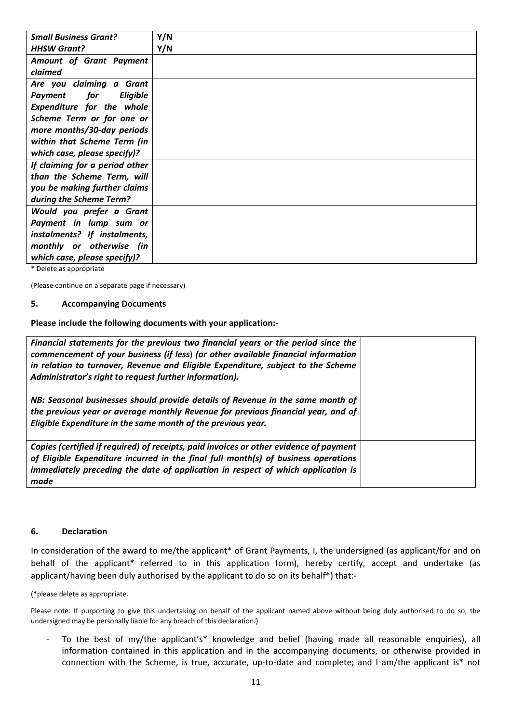| <b>Small Business Grant?</b>             | Y/N |
|------------------------------------------|-----|
| <b>HHSW Grant?</b>                       | Y/N |
| Amount of Grant Payment                  |     |
| claimed                                  |     |
| Are you claiming a Grant                 |     |
| <i>for</i><br><b>Eligible</b><br>Payment |     |
| <b>Expenditure for the whole</b>         |     |
| Scheme Term or for one or                |     |
| more months/30-day periods               |     |
| within that Scheme Term (in              |     |
| which case, please specify)?             |     |
| If claiming for a period other           |     |
| than the Scheme Term, will               |     |
| you be making further claims             |     |
| during the Scheme Term?                  |     |
| Would you prefer a Grant                 |     |
| Payment in lump sum or                   |     |
| instalments? If instalments,             |     |
| monthly or otherwise (in                 |     |
| which case, please specify)?             |     |

\* Delete as appropriate

(Please continue on a separate page if necessary)

#### 5. Accompanying Documents

Please include the following documents with your application:-

| Financial statements for the previous two financial years or the period since the<br>commencement of your business (if less) (or other available financial information<br>in relation to turnover, Revenue and Eligible Expenditure, subject to the Scheme<br>Administrator's right to request further information). |  |
|----------------------------------------------------------------------------------------------------------------------------------------------------------------------------------------------------------------------------------------------------------------------------------------------------------------------|--|
| NB: Seasonal businesses should provide details of Revenue in the same month of<br>the previous year or average monthly Revenue for previous financial year, and of<br>Eligible Expenditure in the same month of the previous year.                                                                                   |  |
| Copies (certified if required) of receipts, paid invoices or other evidence of payment<br>of Eligible Expenditure incurred in the final full month(s) of business operations<br>immediately preceding the date of application in respect of which application is<br>made                                             |  |

#### 6. Declaration

In consideration of the award to me/the applicant\* of Grant Payments, I, the undersigned (as applicant/for and on behalf of the applicant\* referred to in this application form), hereby certify, accept and undertake (as applicant/having been duly authorised by the applicant to do so on its behalf\*) that:-

(\*please delete as appropriate.

Please note: If purporting to give this undertaking on behalf of the applicant named above without being duly authorised to do so, the undersigned may be personally liable for any breach of this declaration.)

To the best of my/the applicant's\* knowledge and belief (having made all reasonable enquiries), all information contained in this application and in the accompanying documents, or otherwise provided in connection with the Scheme, is true, accurate, up-to-date and complete; and I am/the applicant is\* not